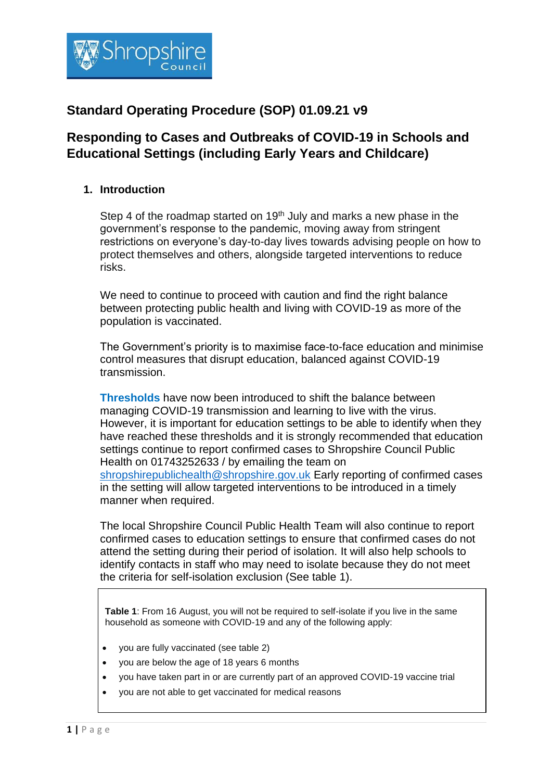

# **Standard Operating Procedure (SOP) 01.09.21 v9**

# **Responding to Cases and Outbreaks of COVID-19 in Schools and Educational Settings (including Early Years and Childcare)**

## **1. Introduction**

Step 4 of the roadmap started on  $19<sup>th</sup>$  July and marks a new phase in the government's response to the pandemic, moving away from stringent restrictions on everyone's day-to-day lives towards advising people on how to protect themselves and others, alongside targeted interventions to reduce risks.

We need to continue to proceed with caution and find the right balance between protecting public health and living with COVID-19 as more of the population is vaccinated.

The Government's priority is to maximise face-to-face education and minimise control measures that disrupt education, balanced against COVID-19 transmission.

**Thresholds** have now been introduced to shift the balance between managing COVID-19 transmission and learning to live with the virus. However, it is important for education settings to be able to identify when they have reached these thresholds and it is strongly recommended that education settings continue to report confirmed cases to Shropshire Council Public Health on 01743252633 / by emailing the team on [shropshirepublichealth@shropshire.gov.uk](mailto:shropshirepublichealth@shropshire.gov.uk) Early reporting of confirmed cases in the setting will allow targeted interventions to be introduced in a timely manner when required.

The local Shropshire Council Public Health Team will also continue to report confirmed cases to education settings to ensure that confirmed cases do not attend the setting during their period of isolation. It will also help schools to identify contacts in staff who may need to isolate because they do not meet the criteria for self-isolation exclusion (See table 1).

**Table 1**: From 16 August, you will not be required to self-isolate if you live in the same household as someone with COVID-19 and any of the following apply:

- you are fully vaccinated (see table 2)
- you are below the age of 18 years 6 months
- you have taken part in or are currently part of an approved COVID-19 vaccine trial
- you are not able to get vaccinated for medical reasons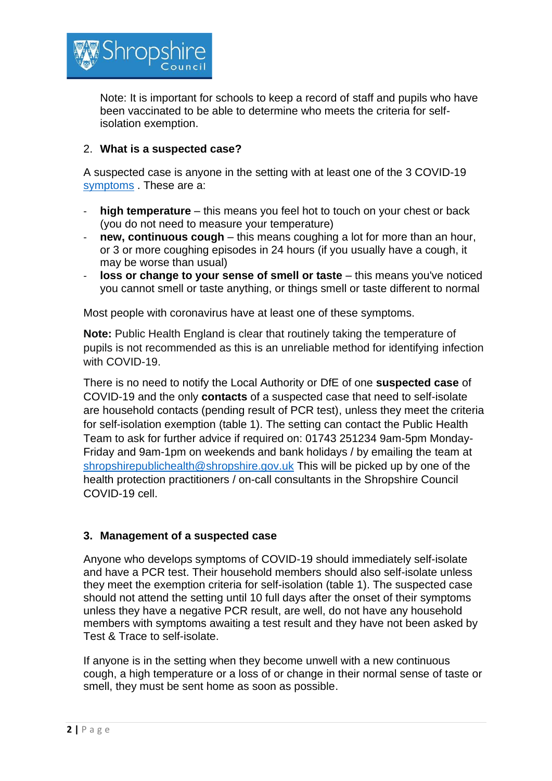

Note: It is important for schools to keep a record of staff and pupils who have been vaccinated to be able to determine who meets the criteria for selfisolation exemption.

#### 2. **What is a suspected case?**

A suspected case is anyone in the setting with at least one of the 3 COVID-19 [symptoms](https://www.gov.uk/government/publications/covid-19-stay-at-home-guidance/stay-at-home-guidance-for-households-with-possible-coronavirus-covid-19-infection#symptoms) . These are a:

- **high temperature** this means you feel hot to touch on your chest or back (you do not need to measure your temperature)
- **new, continuous cough** this means coughing a lot for more than an hour, or 3 or more coughing episodes in 24 hours (if you usually have a cough, it may be worse than usual)
- **loss or change to your sense of smell or taste** this means you've noticed you cannot smell or taste anything, or things smell or taste different to normal

Most people with coronavirus have at least one of these symptoms.

**Note:** Public Health England is clear that routinely taking the temperature of pupils is not recommended as this is an unreliable method for identifying infection with COVID-19.

There is no need to notify the Local Authority or DfE of one **suspected case** of COVID-19 and the only **contacts** of a suspected case that need to self-isolate are household contacts (pending result of PCR test), unless they meet the criteria for self-isolation exemption (table 1). The setting can contact the Public Health Team to ask for further advice if required on: 01743 251234 9am-5pm Monday-Friday and 9am-1pm on weekends and bank holidays / by emailing the team at [shropshirepublichealth@shropshire.gov.uk](mailto:shropshirepublichealth@shropshire.gov.uk) This will be picked up by one of the health protection practitioners / on-call consultants in the Shropshire Council COVID-19 cell.

#### **3. Management of a suspected case**

Anyone who develops symptoms of COVID-19 should immediately self-isolate and have a PCR test. Their household members should also self-isolate unless they meet the exemption criteria for self-isolation (table 1). The suspected case should not attend the setting until 10 full days after the onset of their symptoms unless they have a negative PCR result, are well, do not have any household members with symptoms awaiting a test result and they have not been asked by Test & Trace to self-isolate.

If anyone is in the setting when they become unwell with a new continuous cough, a high temperature or a loss of or change in their normal sense of taste or smell, they must be sent home as soon as possible.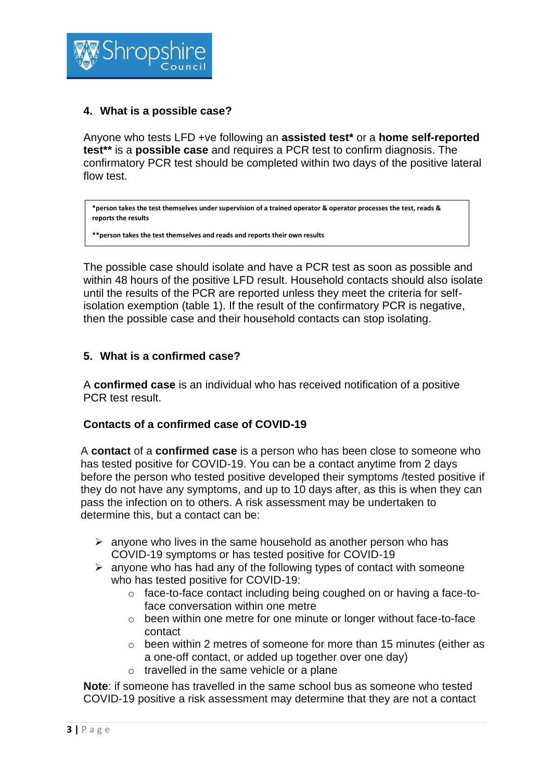

## **4. What is a possible case?**

Anyone who tests LFD +ve following an **assisted test\*** or a **home self-reported test\*\*** is a **possible case** and requires a PCR test to confirm diagnosis. The confirmatory PCR test should be completed within two days of the positive lateral flow test.

**\*person takes the test themselves under supervision of a trained operator & operator processes the test, reads & reports the results**

**\*\*person takes the test themselves and reads and reports their own results**

The possible case should isolate and have a PCR test as soon as possible and within 48 hours of the positive LFD result. Household contacts should also isolate until the results of the PCR are reported unless they meet the criteria for selfisolation exemption (table 1). If the result of the confirmatory PCR is negative, then the possible case and their household contacts can stop isolating.

#### **5. What is a confirmed case?**

A **confirmed case** is an individual who has received notification of a positive PCR test result.

#### **Contacts of a confirmed case of COVID-19**

A **contact** of a **confirmed case** is a person who has been close to someone who has tested positive for COVID-19. You can be a contact anytime from 2 days before the person who tested positive developed their symptoms /tested positive if they do not have any symptoms, and up to 10 days after, as this is when they can pass the infection on to others. A risk assessment may be undertaken to determine this, but a contact can be:

- $\triangleright$  anyone who lives in the same household as another person who has COVID-19 symptoms or has tested positive for COVID-19
- $\triangleright$  anyone who has had any of the following types of contact with someone who has tested positive for COVID-19:
	- o face-to-face contact including being coughed on or having a face-toface conversation within one metre
	- $\circ$  been within one metre for one minute or longer without face-to-face contact
	- o been within 2 metres of someone for more than 15 minutes (either as a one-off contact, or added up together over one day)
	- o travelled in the same vehicle or a plane

**Note**: if someone has travelled in the same school bus as someone who tested COVID-19 positive a risk assessment may determine that they are not a contact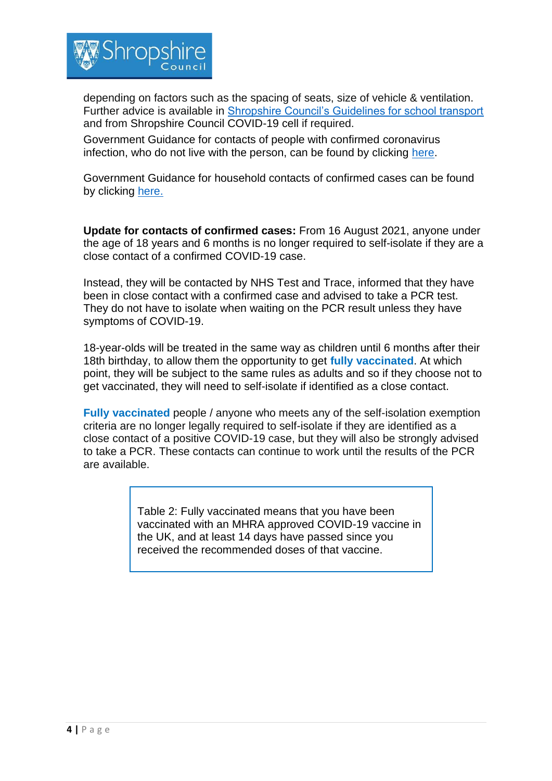

depending on factors such as the spacing of seats, size of vehicle & ventilation. Further advice is available in [Shropshire Council's Guidelines for school transport](https://shropshire.gov.uk/school-transport/coronavirus-emergency-guidance-for-school-transport-and-other-council-passenger-transport/) and from Shropshire Council COVID-19 cell if required.

Government Guidance for contacts of people with confirmed coronavirus infection, who do not live with the person, can be found by clicking [here.](https://www.gov.uk/government/publications/guidance-for-contacts-of-people-with-possible-or-confirmed-coronavirus-covid-19-infection-who-do-not-live-with-the-person/guidance-for-contacts-of-people-with-possible-or-confirmed-coronavirus-covid-19-infection-who-do-not-live-with-the-person)

Government Guidance for household contacts of confirmed cases can be found by clicking [here.](https://www.gov.uk/government/publications/covid-19-stay-at-home-guidance/stay-at-home-guidance-for-households-with-possible-coronavirus-covid-19-infection)

**Update for contacts of confirmed cases:** From 16 August 2021, anyone under the age of 18 years and 6 months is no longer required to self-isolate if they are a close contact of a confirmed COVID-19 case.

Instead, they will be contacted by NHS Test and Trace, informed that they have been in close contact with a confirmed case and advised to take a PCR test. They do not have to isolate when waiting on the PCR result unless they have symptoms of COVID-19.

18-year-olds will be treated in the same way as children until 6 months after their 18th birthday, to allow them the opportunity to get **fully vaccinated**. At which point, they will be subject to the same rules as adults and so if they choose not to get vaccinated, they will need to self-isolate if identified as a close contact.

**Fully vaccinated** people / anyone who meets any of the self-isolation exemption criteria are no longer legally required to self-isolate if they are identified as a close contact of a positive COVID-19 case, but they will also be strongly advised to take a PCR. These contacts can continue to work until the results of the PCR are available.

> Table 2: Fully vaccinated means that you have been vaccinated with an MHRA approved COVID-19 vaccine in the UK, and at least 14 days have passed since you received the recommended doses of that vaccine.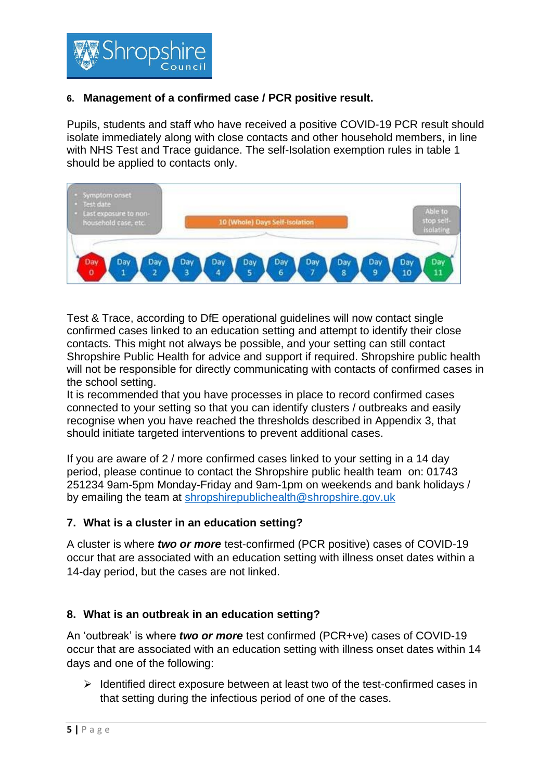

## **6. Management of a confirmed case / PCR positive result.**

Pupils, students and staff who have received a positive COVID-19 PCR result should isolate immediately along with close contacts and other household members, in line with NHS Test and Trace guidance. The self-Isolation exemption rules in table 1 should be applied to contacts only.



Test & Trace, according to DfE operational guidelines will now contact single confirmed cases linked to an education setting and attempt to identify their close contacts. This might not always be possible, and your setting can still contact Shropshire Public Health for advice and support if required. Shropshire public health will not be responsible for directly communicating with contacts of confirmed cases in the school setting.

It is recommended that you have processes in place to record confirmed cases connected to your setting so that you can identify clusters / outbreaks and easily recognise when you have reached the thresholds described in Appendix 3, that should initiate targeted interventions to prevent additional cases.

If you are aware of 2 / more confirmed cases linked to your setting in a 14 day period, please continue to contact the Shropshire public health team on: 01743 251234 9am-5pm Monday-Friday and 9am-1pm on weekends and bank holidays / by emailing the team at [shropshirepublichealth@shropshire.gov.uk](mailto:shropshirepublichealth@shropshire.gov.uk)

#### **7. What is a cluster in an education setting?**

A cluster is where *two or more* test-confirmed (PCR positive) cases of COVID-19 occur that are associated with an education setting with illness onset dates within a 14-day period, but the cases are not linked.

#### **8. What is an outbreak in an education setting?**

An 'outbreak' is where *two or more* test confirmed (PCR+ve) cases of COVID-19 occur that are associated with an education setting with illness onset dates within 14 days and one of the following:

➢ Identified direct exposure between at least two of the test-confirmed cases in that setting during the infectious period of one of the cases.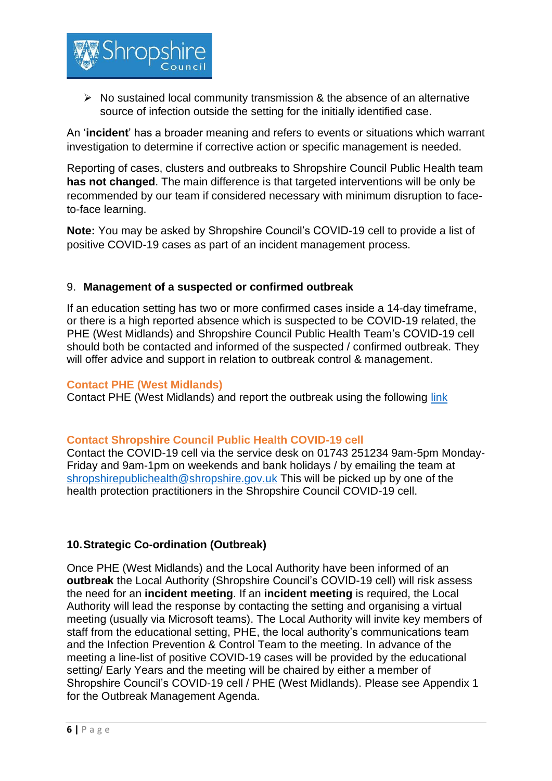

 $\triangleright$  No sustained local community transmission & the absence of an alternative source of infection outside the setting for the initially identified case.

An '**incident**' has a broader meaning and refers to events or situations which warrant investigation to determine if corrective action or specific management is needed.

Reporting of cases, clusters and outbreaks to Shropshire Council Public Health team **has not changed**. The main difference is that targeted interventions will be only be recommended by our team if considered necessary with minimum disruption to faceto-face learning.

**Note:** You may be asked by Shropshire Council's COVID-19 cell to provide a list of positive COVID-19 cases as part of an incident management process.

#### 9. **Management of a suspected or confirmed outbreak**

If an education setting has two or more confirmed cases inside a 14-day timeframe, or there is a high reported absence which is suspected to be COVID-19 related, the PHE (West Midlands) and Shropshire Council Public Health Team's COVID-19 cell should both be contacted and informed of the suspected / confirmed outbreak. They will offer advice and support in relation to outbreak control & management.

#### **Contact PHE (West Midlands)**

Contact PHE (West Midlands) and report the outbreak using the following [link](https://surveys.phe.org.uk/TakeSurvey.aspx?SurveyID=n4KL97m2I)

#### **Contact Shropshire Council Public Health COVID-19 cell**

Contact the COVID-19 cell via the service desk on 01743 251234 9am-5pm Monday-Friday and 9am-1pm on weekends and bank holidays / by emailing the team at [shropshirepublichealth@shropshire.gov.uk](mailto:shropshirepublichealth@shropshire.gov.uk) This will be picked up by one of the health protection practitioners in the Shropshire Council COVID-19 cell.

#### **10.Strategic Co-ordination (Outbreak)**

Once PHE (West Midlands) and the Local Authority have been informed of an **outbreak** the Local Authority (Shropshire Council's COVID-19 cell) will risk assess the need for an **incident meeting**. If an **incident meeting** is required, the Local Authority will lead the response by contacting the setting and organising a virtual meeting (usually via Microsoft teams). The Local Authority will invite key members of staff from the educational setting, PHE, the local authority's communications team and the Infection Prevention & Control Team to the meeting. In advance of the meeting a line-list of positive COVID-19 cases will be provided by the educational setting/ Early Years and the meeting will be chaired by either a member of Shropshire Council's COVID-19 cell / PHE (West Midlands). Please see Appendix 1 for the Outbreak Management Agenda.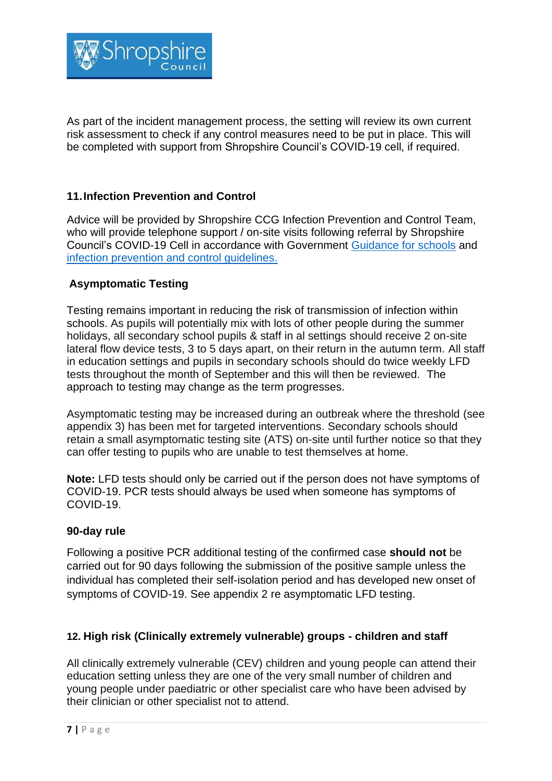

As part of the incident management process, the setting will review its own current risk assessment to check if any control measures need to be put in place. This will be completed with support from Shropshire Council's COVID-19 cell, if required.

## **11.Infection Prevention and Control**

Advice will be provided by Shropshire CCG Infection Prevention and Control Team, who will provide telephone support / on-site visits following referral by Shropshire Council's COVID-19 Cell in accordance with Government Guidance [for schools](https://www.gov.uk/government/publications/actions-for-schools-during-the-coronavirus-outbreak) and [infection prevention and control guidelines.](https://www.gov.uk/government/publications/wuhan-novel-coronavirus-infection-prevention-and-control)

## **Asymptomatic Testing**

Testing remains important in reducing the risk of transmission of infection within schools. As pupils will potentially mix with lots of other people during the summer holidays, all secondary school pupils & staff in al settings should receive 2 on-site lateral flow device tests, 3 to 5 days apart, on their return in the autumn term. All staff in education settings and pupils in secondary schools should do twice weekly LFD tests throughout the month of September and this will then be reviewed. The approach to testing may change as the term progresses.

Asymptomatic testing may be increased during an outbreak where the threshold (see appendix 3) has been met for targeted interventions. Secondary schools should retain a small asymptomatic testing site (ATS) on-site until further notice so that they can offer testing to pupils who are unable to test themselves at home.

**Note:** LFD tests should only be carried out if the person does not have symptoms of COVID-19. PCR tests should always be used when someone has symptoms of COVID-19.

## **90-day rule**

Following a positive PCR additional testing of the confirmed case **should not** be carried out for 90 days following the submission of the positive sample unless the individual has completed their self-isolation period and has developed new onset of symptoms of COVID-19. See appendix 2 re asymptomatic LFD testing.

## **12. High risk (Clinically extremely vulnerable) groups - children and staff**

All clinically extremely vulnerable (CEV) children and young people can attend their education setting unless they are one of the very small number of children and young people under paediatric or other specialist care who have been advised by their clinician or other specialist not to attend.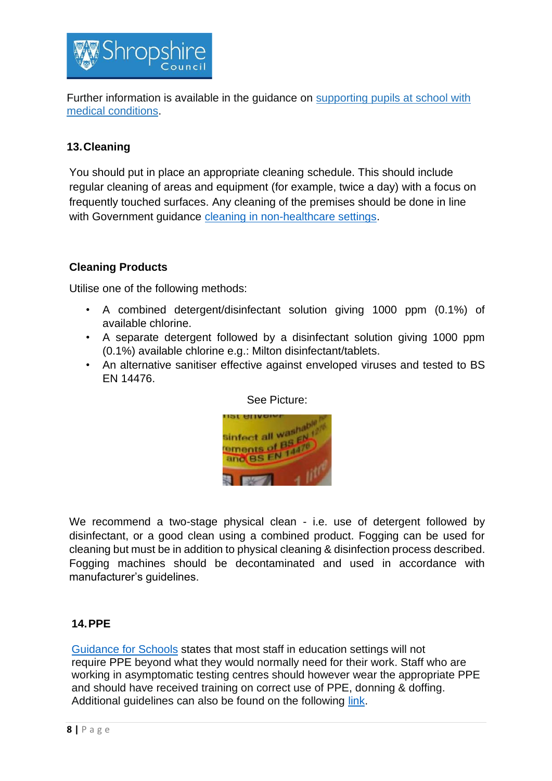

Further information is available in the guidance on [supporting](https://www.gov.uk/government/publications/supporting-pupils-at-school-with-medical-conditions--3) pupils at school with medical [conditions.](https://www.gov.uk/government/publications/supporting-pupils-at-school-with-medical-conditions--3)

## **13.Cleaning**

You should put in place an appropriate cleaning schedule. This should include regular cleaning of areas and equipment (for example, twice a day) with a focus on frequently touched surfaces. Any cleaning of the premises should be done in line with Government guidance [cleaning in non-healthcare settings.](https://www.gov.uk/government/publications/covid-19-decontamination-in-non-healthcare-settings/covid-19-decontamination-in-non-healthcare-settings)

## **Cleaning Products**

Utilise one of the following methods:

- A combined detergent/disinfectant solution giving 1000 ppm (0.1%) of available chlorine.
- A separate detergent followed by a disinfectant solution giving 1000 ppm (0.1%) available chlorine e.g.: Milton disinfectant/tablets.
- An alternative sanitiser effective against enveloped viruses and tested to BS EN 14476.



We recommend a two-stage physical clean - i.e. use of detergent followed by disinfectant, or a good clean using a combined product. Fogging can be used for cleaning but must be in addition to physical cleaning & disinfection process described. Fogging machines should be decontaminated and used in accordance with manufacturer's guidelines.

## **14.PPE**

[Guidance for Schools](https://www.gov.uk/government/publications/actions-for-schools-during-the-coronavirus-outbreak) states that most staff in education settings will not require PPE beyond what they would normally need for their work. Staff who are working in asymptomatic testing centres should however wear the appropriate PPE and should have received training on correct use of PPE, donning & doffing. Additional guidelines can also be found on the following [link.](https://www.gov.uk/government/publications/safe-working-in-education-childcare-and-childrens-social-care)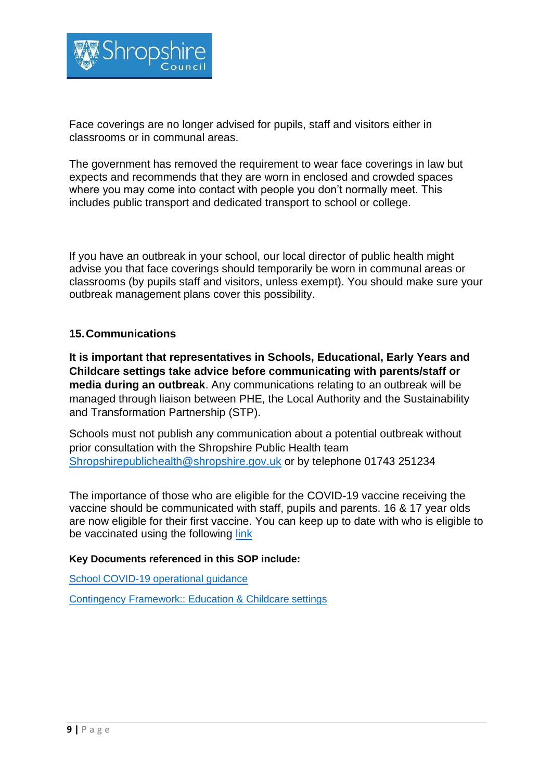

Face coverings are no longer advised for pupils, staff and visitors either in classrooms or in communal areas.

The government has removed the requirement to wear face coverings in law but expects and recommends that they are worn in enclosed and crowded spaces where you may come into contact with people you don't normally meet. This includes public transport and dedicated transport to school or college.

If you have an outbreak in your school, our local director of public health might advise you that face coverings should temporarily be worn in communal areas or classrooms (by pupils staff and visitors, unless exempt). You should make sure your outbreak management plans cover this possibility.

## **15.Communications**

**It is important that representatives in Schools, Educational, Early Years and Childcare settings take advice before communicating with parents/staff or media during an outbreak**. Any communications relating to an outbreak will be managed through liaison between PHE, the Local Authority and the Sustainability and Transformation Partnership (STP).

Schools must not publish any communication about a potential outbreak without prior consultation with the Shropshire Public Health team Shropshirepublichealth@shropshire.gov.uk or by telephone 01743 251234

The importance of those who are eligible for the COVID-19 vaccine receiving the vaccine should be communicated with staff, pupils and parents. 16 & 17 year olds are now eligible for their first vaccine. You can keep up to date with who is eligible to be vaccinated using the following [link](https://www.nhs.uk/conditions/coronavirus-covid-19/coronavirus-vaccination/who-can-get-the-vaccine/)

#### **Key Documents referenced in this SOP include:**

[School COVID-19 operational guidance](https://www.gov.uk/government/publications/actions-for-schools-during-the-coronavirus-outbreak)

[Contingency Framework:: Education & Childcare settings](https://www.gov.uk/government/publications/coronavirus-covid-19-local-restrictions-in-education-and-childcare-settings)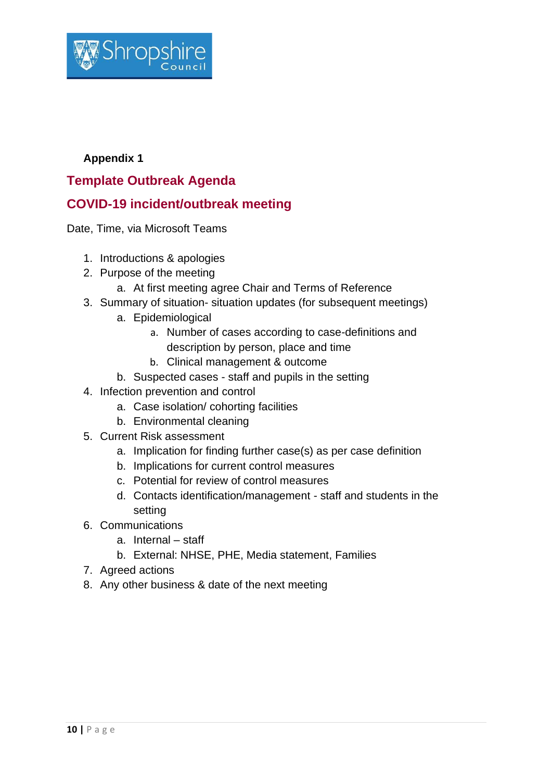

## **Appendix 1**

# **Template Outbreak Agenda**

# **COVID-19 incident/outbreak meeting**

Date, Time, via Microsoft Teams

- 1. Introductions & apologies
- 2. Purpose of the meeting
	- a. At first meeting agree Chair and Terms of Reference
- 3. Summary of situation- situation updates (for subsequent meetings)
	- a. Epidemiological
		- a. Number of cases according to case-definitions and description by person, place and time
		- b. Clinical management & outcome
	- b. Suspected cases staff and pupils in the setting
- 4. Infection prevention and control
	- a. Case isolation/ cohorting facilities
	- b. Environmental cleaning
- 5. Current Risk assessment
	- a. Implication for finding further case(s) as per case definition
	- b. Implications for current control measures
	- c. Potential for review of control measures
	- d. Contacts identification/management staff and students in the setting
- 6. Communications
	- a. Internal staff
	- b. External: NHSE, PHE, Media statement, Families
- 7. Agreed actions
- 8. Any other business & date of the next meeting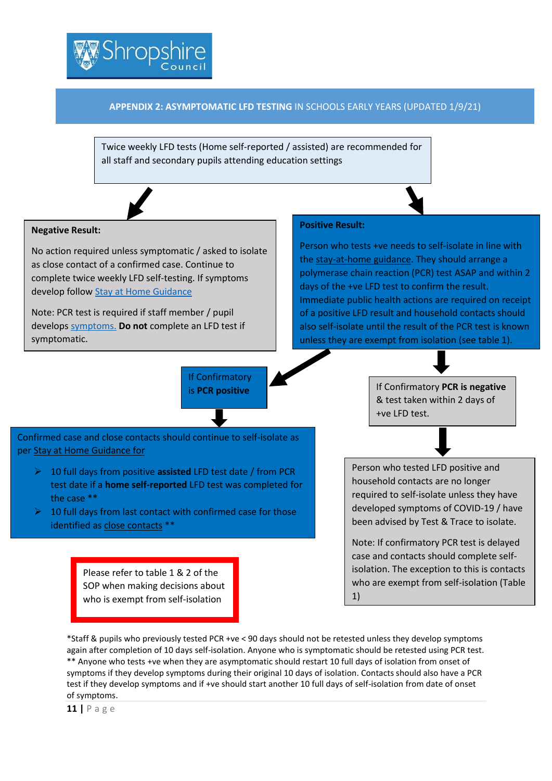

#### **APPENDIX 2: ASYMPTOMATIC LFD TESTING** IN SCHOOLS EARLY YEARS (UPDATED 1/9/21)

Twice weekly LFD tests (Home self-reported / assisted) are recommended for all staff and secondary pupils attending education settings



#### **Negative Result:**

No action required unless symptomatic / asked to isolate as close contact of a confirmed case. Continue to complete twice weekly LFD self-testing. If symptoms develop follo[w Stay at Home Guidance](https://www.gov.uk/government/publications/covid-19-stay-at-home-guidance/stay-at-home-guidance-for-households-with-possible-coronavirus-covid-19-infection)

Note: PCR test is required if staff member / pupil develop[s symptoms.](https://www.gov.uk/government/publications/covid-19-stay-at-home-guidance/stay-at-home-guidance-for-households-with-possible-coronavirus-covid-19-infection) **Do not** complete an LFD test if symptomatic.

#### **Positive Result:**

Person who tests +ve needs to self-isolate in line with the [stay-at-home](https://www.gov.uk/government/publications/covid-19-stay-at-home-guidance/stay-at-home-guidance-for-households-with-possible-coronavirus-covid-19-infection) guidance. They should arrange a polymerase chain reaction (PCR) test ASAP and within 2 days of the +ve LFD test to confirm the result. Immediate public health actions are required on receipt of a positive LFD result and household contacts should also self-isolate until the result of the PCR test is known unless they are exempt from isolation (see table 1).



\*Staff & pupils who previously tested PCR +ve < 90 days should not be retested unless they develop symptoms again after completion of 10 days self-isolation. Anyone who is symptomatic should be retested using PCR test. \*\* Anyone who tests +ve when they are asymptomatic should restart 10 full days of isolation from onset of symptoms if they develop symptoms during their original 10 days of isolation. Contacts should also have a PCR test if they develop symptoms and if +ve should start another 10 full days of self-isolation from date of onset of symptoms.

the case \*\*